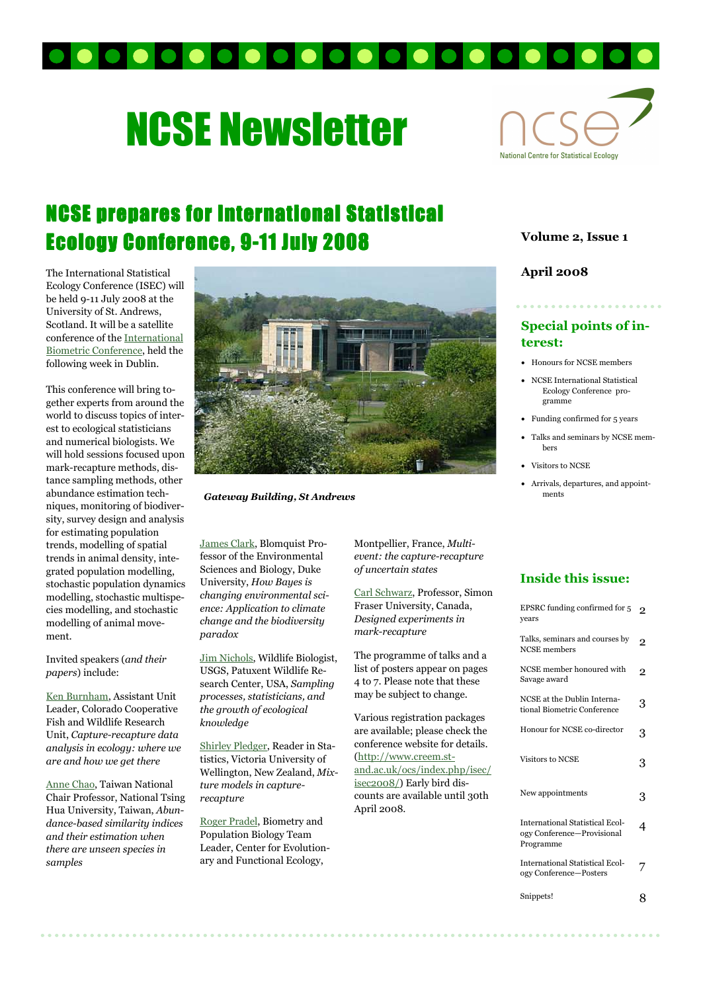

# NCSE Newsletter



# NCSE prepares for International Statistical Ecology Conference, 9-11 July 2008

The International Statistical Ecology Conference (ISEC) will be held 9-11 July 2008 at the University of St. Andrews, Scotland. It will be a satellite conference of the International Biometric Conference, held the following week in Dublin.

This conference will bring together experts from around the world to discuss topics of interest to ecological statisticians and numerical biologists. We will hold sessions focused upon mark-recapture methods, distance sampling methods, other abundance estimation techniques, monitoring of biodiversity, survey design and analysis for estimating population trends, modelling of spatial trends in animal density, integrated population modelling, stochastic population dynamics modelling, stochastic multispecies modelling, and stochastic modelling of animal movement.

Invited speakers (and their papers) include:

Ken Burnham, Assistant Unit Leader, Colorado Cooperative Fish and Wildlife Research Unit, Capture-recapture data analysis in ecology: where we are and how we get there

Anne Chao, Taiwan National Chair Professor, National Tsing Hua University, Taiwan, Abundance-based similarity indices and their estimation when there are unseen species in samples



Gateway Building, St Andrews

James Clark, Blomquist Professor of the Environmental Sciences and Biology, Duke University, How Bayes is changing environmental science: Application to climate change and the biodiversity paradox

Jim Nichols, Wildlife Biologist, USGS, Patuxent Wildlife Research Center, USA, Sampling processes, statisticians, and the growth of ecological knowledge

Shirley Pledger, Reader in Statistics, Victoria University of Wellington, New Zealand, Mixture models in capturerecapture

Roger Pradel, Biometry and Population Biology Team Leader, Center for Evolutionary and Functional Ecology,

Montpellier, France, Multievent: the capture-recapture of uncertain states

Carl Schwarz, Professor, Simon Fraser University, Canada, Designed experiments in mark-recapture

The programme of talks and a list of posters appear on pages 4 to 7. Please note that these may be subject to change.

Various registration packages are available; please check the conference website for details. (http://www.creem.stand.ac.uk/ocs/index.php/isec/ isec2008/) Early bird discounts are available until 30th April 2008.

#### Volume 2, Issue 1

#### April 2008

### Special points of interest:

- Honours for NCSE members
- NCSE International Statistical Ecology Conference programme
- Funding confirmed for 5 years
- Talks and seminars by NCSE members
- Visitors to NCSE
- Arrivals, departures, and appointments

#### Inside this issue:

| EPSRC funding confirmed for 5<br>vears                                            | $\overline{2}$ |
|-----------------------------------------------------------------------------------|----------------|
| Talks, seminars and courses by<br><b>NCSE</b> members                             | $\overline{2}$ |
| NCSE member honoured with<br>Savage award                                         | $\overline{2}$ |
| NCSE at the Dublin Interna-<br>tional Biometric Conference                        | 3              |
| Honour for NCSE co-director                                                       | 3              |
| <b>Visitors to NCSE</b>                                                           | 3              |
| New appointments                                                                  | 3              |
| <b>International Statistical Ecol-</b><br>ogy Conference-Provisional<br>Programme | 4              |
| <b>International Statistical Ecol-</b><br>ogy Conference-Posters                  |                |
| Snippets!                                                                         |                |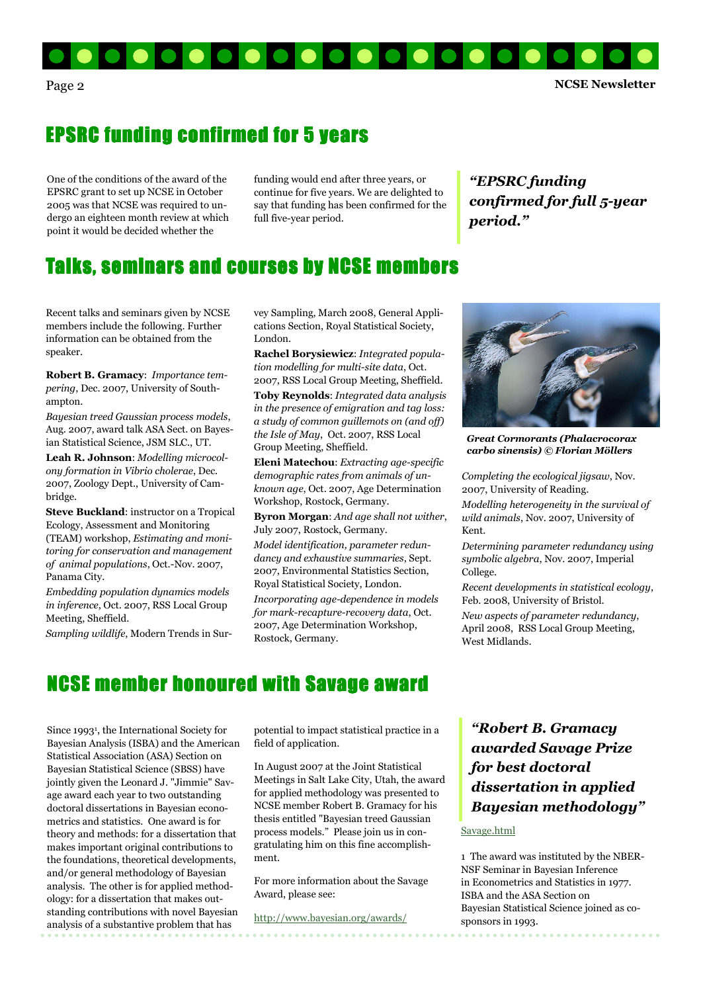

Page 2 NCSE Newsletter

## EPSRC funding confirmed for 5 years

One of the conditions of the award of the EPSRC grant to set up NCSE in October 2005 was that NCSE was required to undergo an eighteen month review at which point it would be decided whether the

funding would end after three years, or continue for five years. We are delighted to say that funding has been confirmed for the full five-year period.

"EPSRC funding confirmed for full 5-year period."

### Talks, seminars and courses by NCSE members

Recent talks and seminars given by NCSE members include the following. Further information can be obtained from the speaker.

Robert B. Gramacy: Importance tempering, Dec. 2007, University of Southampton.

Bayesian treed Gaussian process models, Aug. 2007, award talk ASA Sect. on Bayesian Statistical Science, JSM SLC., UT.

Leah R. Johnson: Modelling microcolony formation in Vibrio cholerae, Dec. 2007, Zoology Dept., University of Cambridge.

Steve Buckland: instructor on a Tropical Ecology, Assessment and Monitoring (TEAM) workshop, Estimating and monitoring for conservation and management of animal populations, Oct.-Nov. 2007, Panama City.

Embedding population dynamics models in inference, Oct. 2007, RSS Local Group Meeting, Sheffield.

Sampling wildlife, Modern Trends in Sur-

vey Sampling, March 2008, General Applications Section, Royal Statistical Society, London.

Rachel Borysiewicz: Integrated population modelling for multi-site data, Oct. 2007, RSS Local Group Meeting, Sheffield.

Toby Reynolds: Integrated data analysis in the presence of emigration and tag loss: a study of common guillemots on (and off) the Isle of May, Oct. 2007, RSS Local Group Meeting, Sheffield.

Eleni Matechou: Extracting age-specific demographic rates from animals of unknown age, Oct. 2007, Age Determination Workshop, Rostock, Germany.

Byron Morgan: And age shall not wither, July 2007, Rostock, Germany.

Model identification, parameter redundancy and exhaustive summaries, Sept. 2007, Environmental Statistics Section, Royal Statistical Society, London.

Incorporating age-dependence in models for mark-recapture-recovery data, Oct. 2007, Age Determination Workshop, Rostock, Germany.



Great Cormorants (Phalacrocorax carbo sinensis) © Florian Möllers

Completing the ecological jigsaw, Nov. 2007, University of Reading.

Modelling heterogeneity in the survival of wild animals, Nov. 2007, University of Kent.

Determining parameter redundancy using symbolic algebra, Nov. 2007, Imperial College.

Recent developments in statistical ecology, Feb. 2008, University of Bristol.

New aspects of parameter redundancy, April 2008, RSS Local Group Meeting, West Midlands.

## NCSE member honoured with Savage award

Since 1993<sup>1</sup> , the International Society for Bayesian Analysis (ISBA) and the American Statistical Association (ASA) Section on Bayesian Statistical Science (SBSS) have jointly given the Leonard J. "Jimmie" Savage award each year to two outstanding doctoral dissertations in Bayesian econometrics and statistics. One award is for theory and methods: for a dissertation that makes important original contributions to the foundations, theoretical developments, and/or general methodology of Bayesian analysis. The other is for applied methodology: for a dissertation that makes outstanding contributions with novel Bayesian analysis of a substantive problem that has

potential to impact statistical practice in a field of application.

In August 2007 at the Joint Statistical Meetings in Salt Lake City, Utah, the award for applied methodology was presented to NCSE member Robert B. Gramacy for his thesis entitled "Bayesian treed Gaussian process models." Please join us in congratulating him on this fine accomplishment.

For more information about the Savage Award, please see:

http://www.bayesian.org/awards/

"Robert B. Gramacy awarded Savage Prize for best doctoral dissertation in applied Bayesian methodology"

#### Savage.html

1 The award was instituted by the NBER-NSF Seminar in Bayesian Inference in Econometrics and Statistics in 1977. ISBA and the ASA Section on Bayesian Statistical Science joined as cosponsors in 1993.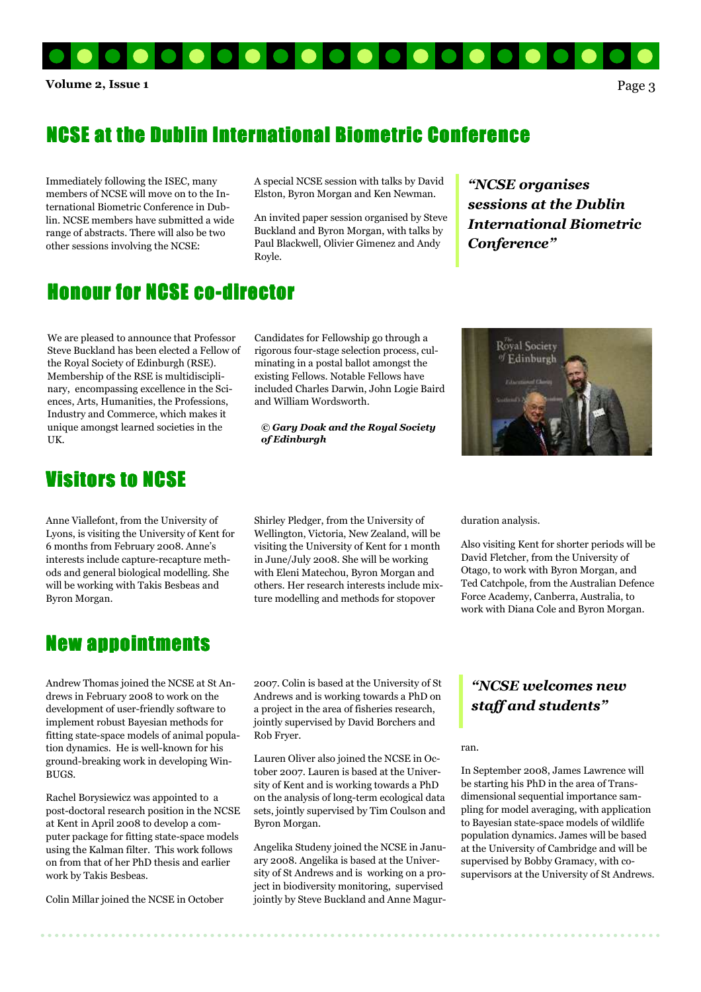

### NCSE at the Dublin International Biometric Conference

Immediately following the ISEC, many members of NCSE will move on to the International Biometric Conference in Dublin. NCSE members have submitted a wide range of abstracts. There will also be two other sessions involving the NCSE:

A special NCSE session with talks by David Elston, Byron Morgan and Ken Newman.

An invited paper session organised by Steve Buckland and Byron Morgan, with talks by Paul Blackwell, Olivier Gimenez and Andy Royle.

"NCSE organises sessions at the Dublin International Biometric Conference"

### **Honour for NCSE co-director**

We are pleased to announce that Professor Steve Buckland has been elected a Fellow of the Royal Society of Edinburgh (RSE). Membership of the RSE is multidisciplinary, encompassing excellence in the Sciences, Arts, Humanities, the Professions, Industry and Commerce, which makes it unique amongst learned societies in the UK.

### **Visitors to NCSE**

Anne Viallefont, from the University of Lyons, is visiting the University of Kent for 6 months from February 2008. Anne's interests include capture-recapture methods and general biological modelling. She will be working with Takis Besbeas and Byron Morgan.

#### rigorous four-stage selection process, culminating in a postal ballot amongst the existing Fellows. Notable Fellows have included Charles Darwin, John Logie Baird and William Wordsworth.

Candidates for Fellowship go through a

© Gary Doak and the Royal Society of Edinburgh



Shirley Pledger, from the University of Wellington, Victoria, New Zealand, will be visiting the University of Kent for 1 month in June/July 2008. She will be working with Eleni Matechou, Byron Morgan and others. Her research interests include mixture modelling and methods for stopover

duration analysis.

Also visiting Kent for shorter periods will be David Fletcher, from the University of Otago, to work with Byron Morgan, and Ted Catchpole, from the Australian Defence Force Academy, Canberra, Australia, to work with Diana Cole and Byron Morgan.

### New appointments

Andrew Thomas joined the NCSE at St Andrews in February 2008 to work on the development of user-friendly software to implement robust Bayesian methods for fitting state-space models of animal population dynamics. He is well-known for his ground-breaking work in developing Win-BUGS.

Rachel Borysiewicz was appointed to a post-doctoral research position in the NCSE at Kent in April 2008 to develop a computer package for fitting state-space models using the Kalman filter. This work follows on from that of her PhD thesis and earlier work by Takis Besbeas.

Colin Millar joined the NCSE in October

2007. Colin is based at the University of St Andrews and is working towards a PhD on a project in the area of fisheries research, jointly supervised by David Borchers and Rob Fryer.

Lauren Oliver also joined the NCSE in October 2007. Lauren is based at the University of Kent and is working towards a PhD on the analysis of long-term ecological data sets, jointly supervised by Tim Coulson and Byron Morgan.

Angelika Studeny joined the NCSE in January 2008. Angelika is based at the University of St Andrews and is working on a project in biodiversity monitoring, supervised jointly by Steve Buckland and Anne Magur-

### "NCSE welcomes new staff and students"

ran.

In September 2008, James Lawrence will be starting his PhD in the area of Transdimensional sequential importance sampling for model averaging, with application to Bayesian state-space models of wildlife population dynamics. James will be based at the University of Cambridge and will be supervised by Bobby Gramacy, with cosupervisors at the University of St Andrews.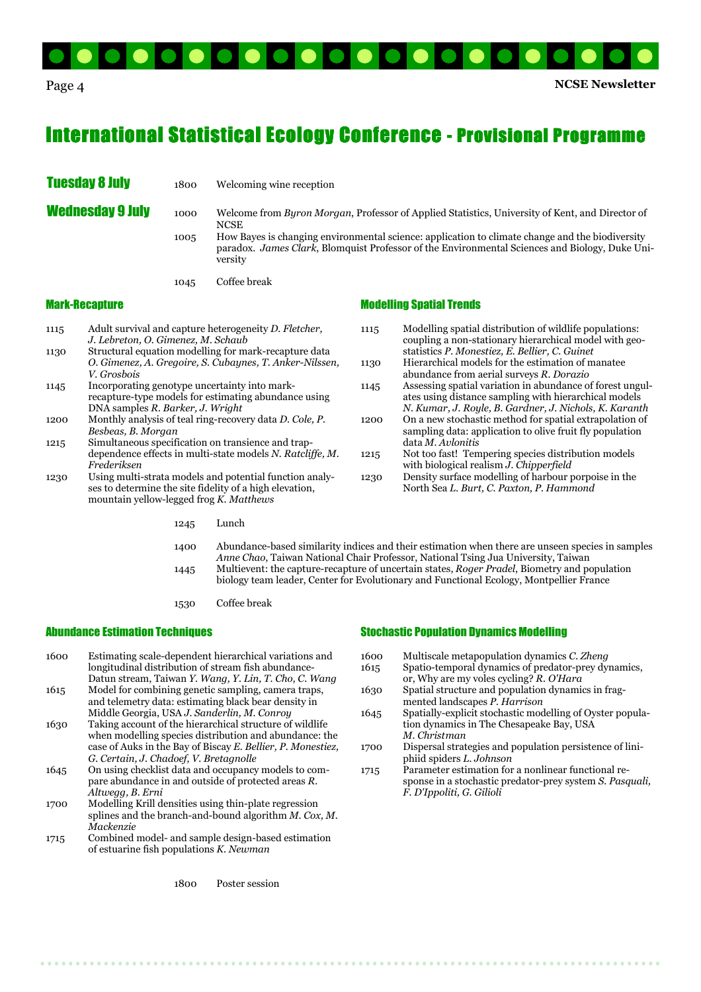

### **International Statistical Ecology Conference - Provisional Programme**

**Tuesday 8 July** 1800 Welcoming wine reception

**Wednesday 9 July** 1000 Welcome from Byron Morgan, Professor of Applied Statistics, University of Kent, and Director of NCSE<sup>N</sup>

 1005 How Bayes is changing environmental science: application to climate change and the biodiversity paradox. James Clark, Blomquist Professor of the Environmental Sciences and Biology, Duke Uni versity

1045 Coffee break

#### Mark-Recapture

- 1115 Adult survival and capture heterogeneity D. Fletcher, J. Lebreton, O. Gimenez, M. Schaub
- 1130 Structural equation modelling for mark-recapture data O. Gimenez, A. Gregoire, S. Cubaynes, T. Anker-Nilssen, V. Grosbois 1145 Incorporating genotype uncertainty into mark-
- recapture-type models for estimating abundance using DNA samples R. Barker, J. Wright
- 1200 Monthly analysis of teal ring-recovery data D. Cole, P. Besbeas, B. Morgan
- 1215 Simultaneous specification on transience and trap dependence effects in multi-state models N. Ratcliffe, M. Frederiksen
- 1230 Using multi-strata models and potential function analy ses to determine the site fidelity of a high elevation, mountain yellow-legged frog  $K$ . Matthews
	-

#### Modelling Spatial Trends

- 1115 Modelling spatial distribution of wildlife populations: coupling a non-stationary hierarchical model with geo statistics P. Monestiez, E. Bellier, C. Guinet 1130 Hierarchical models for the estimation of manatee abundance from aerial surveys R. Dorazio 1145 Assessing spatial variation in abundance of forest ungul ates using distance sampling with hierarchical models N. Kumar, J. Royle, B. Gardner, J. Nichols, K. Karanth 1200 On a new stochastic method for spatial extrapolation of sampling data: application to olive fruit fly population data M. Avlonitis 1215 Not too fast! Tempering species distribution models with biological realism J. Chipperfield 1230 Density surface modelling of harbour porpoise in the
- North Sea L. Burt, C. Paxton, P. Hammond

1245 Lunch

 1400 Abundance-based similarity indices and their estimation when there are unseen species in samples Anne Chao, Taiwan National Chair Professor, National Tsing Jua University, Taiwan 1445 Multievent: the capture-recapture of uncertain states, Roger Pradel, Biometry and population biology team leader, Center for Evolutionary and Functional Ecology, Montpellier France

1530 Coffee break

#### Abundance Estimation Techniques

- 1600 Estimating scale-dependent hierarchical variations and longitudinal distribution of stream fish abundance- Datun stream, Taiwan Y. Wang, Y. Lin, T. Cho, C. Wang
- 1615 Model for combining genetic sampling, camera traps, and telemetry data: estimating black bear density in Middle Georgia, USA J. Sanderlin, M. Conroy
- 1630 Taking account of the hierarchical structure of wildlife when modelling species distribution and abundance: the case of Auks in the Bay of Biscay E. Bellier, P. Monestiez, G. Certain, J. Chadoef, V. Bretagnolle
- 1645 On using checklist data and occupancy models to com pare abundance in and outside of protected areas R. Altwegg, B. Erni
- 1700 Modelling Krill densities using thin-plate regression splines and the branch-and-bound algorithm M. Cox, M. Mackenzie
- 1715 Combined model- and sample design-based estimation of estuarine fish populations K. Newman

1800 Poster session

#### Stochastic Population Dynamics Modelling

- 1600 Multiscale metapopulation dynamics C. Zheng<br>1615 Spatio-temporal dynamics of predator-prev dy
- Spatio-temporal dynamics of predator-prey dynamics, or, Why are my voles cycling? R. O'Hara
- 1630 Spatial structure and population dynamics in frag mented landscapes P. Harrison
- 1645 Spatially-explicit stochastic modelling of Oyster popula tion dynamics in The Chesapeake Bay, USA M. Christman
- 1700 Dispersal strategies and population persistence of lini phiid spiders L. Johnson
- 1715 Parameter estimation for a nonlinear functional re sponse in a stochastic predator-prey system S. Pasquali, F. D'Ippoliti, G. Gilioli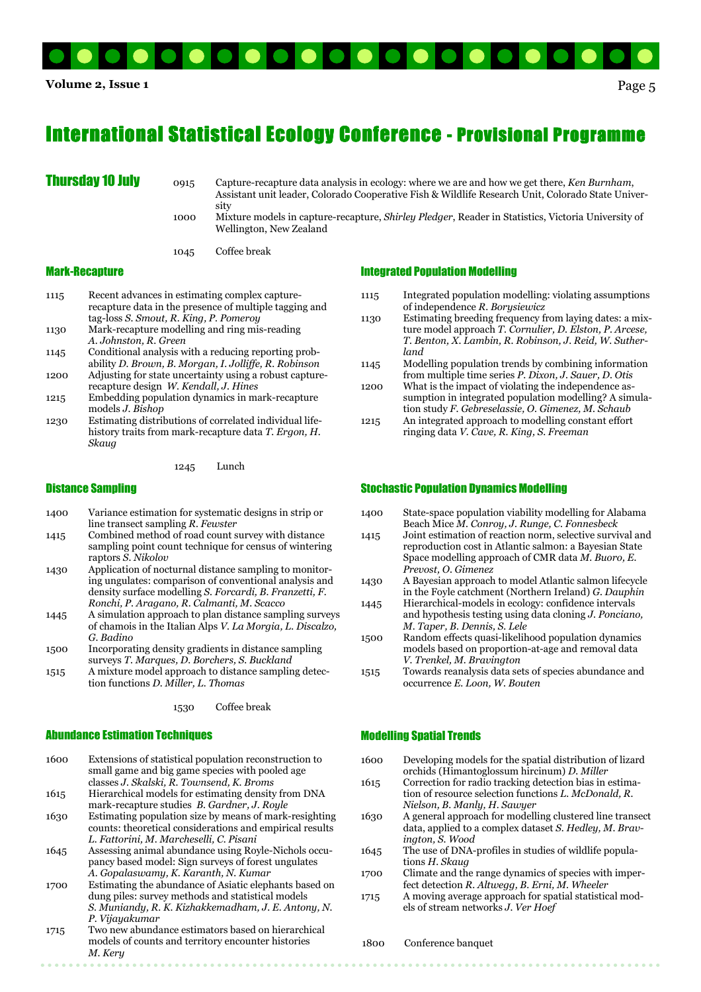

## **International Statistical Ecology Conference - Provisional Programme**

**Thursday 10 July** o915 Capture-recapture data analysis in ecology: where we are and how we get there, Ken Burnham, Assistant unit leader, Colorado Cooperative Fish & Wildlife Research Unit, Colorado State Univer sity

> 1000 Mixture models in capture-recapture, Shirley Pledger, Reader in Statistics, Victoria University of Wellington, New Zealand

1045 Coffee break

#### Mark-Recapture

- 1115 Recent advances in estimating complex capture recapture data in the presence of multiple tagging and tag-loss S. Smout, R. King, P. Pomeroy
- 1130 Mark-recapture modelling and ring mis-reading A. Johnston, R. Green
- 1145 Conditional analysis with a reducing reporting prob ability D. Brown, B. Morgan, I. Jolliffe, R. Robinson
- 1200 Adjusting for state uncertainty using a robust capture recapture design W. Kendall, J. Hines
- 1215 Embedding population dynamics in mark-recapture models J. Bishop
- 1230 Estimating distributions of correlated individual life history traits from mark-recapture data T. Ergon, H. Skaug

1245 Lunch

#### Distance Sampling

- 1400 Variance estimation for systematic designs in strip or line transect sampling R. Fewster
- 1415 Combined method of road count survey with distance sampling point count technique for census of wintering raptors S. Nikolov
- 1430 Application of nocturnal distance sampling to monitor ing ungulates: comparison of conventional analysis and density surface modelling S. Forcardi, B. Franzetti, F. Ronchi, P. Aragano, R. Calmanti, M. Scacco
- 1445 A simulation approach to plan distance sampling surveys of chamois in the Italian Alps V. La Morgia, L. Discalzo, G. Badino
- 1500 Incorporating density gradients in distance sampling surveys T. Marques, D. Borchers, S. Buckland
- 1515 A mixture model approach to distance sampling detec tion functions D. Miller, L. Thomas

1530 Coffee break

#### Abundance Estimation Techniques

- 1600 Extensions of statistical population reconstruction to small game and big game species with pooled age
- classes J. Skalski, R. Townsend, K. Broms<br>1615 Hierarchical models for estimating density Hierarchical models for estimating density from DNA mark-recapture studies B. Gardner, J. Royle
- 1630 Estimating population size by means of mark-resighting counts: theoretical considerations and empirical results L. Fattorini, M. Marcheselli, C. Pisani
- 1645 Assessing animal abundance using Royle-Nichols occu pancy based model: Sign surveys of forest ungulates A. Gopalaswamy, K. Karanth, N. Kumar
- 1700 Estimating the abundance of Asiatic elephants based on dung piles: survey methods and statistical models S. Muniandy, R. K. Kizhakkemadham, J. E. Antony, N. P. Vijayakumar
- 1715 Two new abundance estimators based on hierarchical models of counts and territory encounter histories M. Kery

#### Integrated Population Modelling

- 1115 Integrated population modelling: violating assumptions of independence R. Borysiewicz
- 1130 Estimating breeding frequency from laying dates: a mix ture model approach T. Cornulier, D. Elston, P. Arcese, T. Benton, X. Lambin, R. Robinson, J. Reid, W. Suther land
- 1145 Modelling population trends by combining information from multiple time series P. Dixon, J. Sauer, D. Otis
- 1200 What is the impact of violating the independence as sumption in integrated population modelling? A simula tion study F. Gebreselassie, O. Gimenez, M. Schaub
- 1215 An integrated approach to modelling constant effort ringing data V. Cave, R. King, S. Freeman

#### Stochastic Population Dynamics Modelling

- 1400 State-space population viability modelling for Alabama Beach Mice M. Conroy, J. Runge, C. Fonnesbeck
- 1415 Joint estimation of reaction norm, selective survival and reproduction cost in Atlantic salmon: a Bayesian State Space modelling approach of CMR data M. Buoro, E. Prevost, O. Gimenez
- 1430 A Bayesian approach to model Atlantic salmon lifecycle in the Foyle catchment (Northern Ireland) G. Dauphin
- 1445 Hierarchical-models in ecology: confidence intervals and hypothesis testing using data cloning J. Ponciano, M. Taper, B. Dennis, S. Lele
- 1500 Random effects quasi-likelihood population dynamics models based on proportion-at-age and removal data V. Trenkel, M. Bravington
- 1515 Towards reanalysis data sets of species abundance and occurrence E. Loon, W. Bouten

#### Modelling Spatial Trends

- 1600 Developing models for the spatial distribution of lizard orchids (Himantoglossum hircinum) D. Miller
- 1615 Correction for radio tracking detection bias in estima tion of resource selection functions L. McDonald, R.
- Nielson, B. Manly, H. Sawyer<br>1630 A general approach for modell 1630 A general approach for modelling clustered line transect data, applied to a complex dataset S. Hedley, M. Brav ington, S. Wood
- 1645 The use of DNA-profiles in studies of wildlife popula tions H. Skaug
- 1700 Climate and the range dynamics of species with imper fect detection R. Altwegg, B. Erni, M. Wheeler<br>1715 A moving average approach for spatial statistic
- A moving average approach for spatial statistical models of stream networks J. Ver Hoef

1800 Conference banquet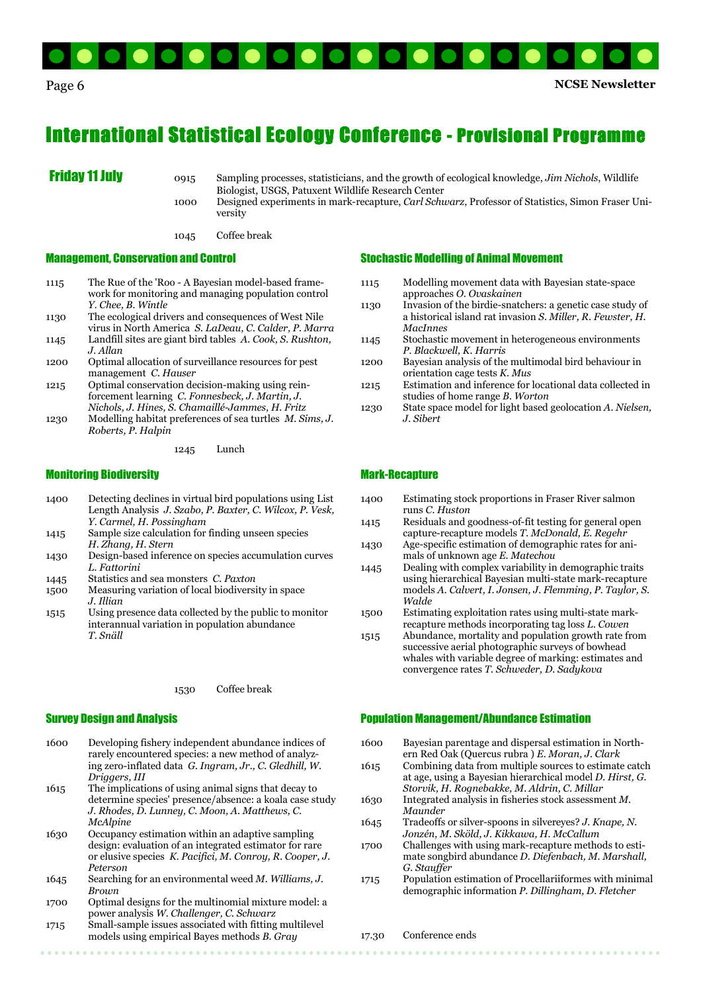

### **International Statistical Ecology Conference - Provisional Programme**

**Friday 11 July** 0915 Sampling processes, statisticians, and the growth of ecological knowledge, *Jim Nichols*, Wildlife Biologist, USGS, Patuxent Wildlife Research Center<br>1000 Designed experiments in mark-recapture. Carl Schu

Designed experiments in mark-recapture, Carl Schwarz, Professor of Statistics, Simon Fraser University

1045 Coffee break

#### Management, Conservation and Control

- 1115 The Rue of the 'Roo A Bayesian model-based frame work for monitoring and managing population control Y. Chee, B. Wintle
- 1130 The ecological drivers and consequences of West Nile virus in North America S. LaDeau, C. Calder, P. Marra 1145 Landfill sites are giant bird tables A. Cook, S. Rushton,
- J. Allan
- 1200 Optimal allocation of surveillance resources for pest management C. Hauser
- 1215 Optimal conservation decision-making using rein forcement learning C. Fonnesbeck, J. Martin, J. Nichols, J. Hines, S. Chamaillé-Jammes, H. Fritz
- 1230 Modelling habitat preferences of sea turtles M. Sims, J. Roberts, P. Halpin

1245 Lunch

#### Monitoring Biodiversity

- 1400 Detecting declines in virtual bird populations using List Length Analysis J. Szabo, P. Baxter, C. Wilcox, P. Vesk, Y. Carmel, H. Possingham
- 1415 Sample size calculation for finding unseen species H. Zhang, H. Stern
- 1430 Design-based inference on species accumulation curves L. Fattorini
- 1445 Statistics and sea monsters C. Paxton
- 1500 Measuring variation of local biodiversity in space J. Illian
- 1515 Using presence data collected by the public to monitor interannual variation in population abundance T. Snäll

#### 1530 Coffee break

#### Survey Design and Analysis

- 1600 Developing fishery independent abundance indices of rarely encountered species: a new method of analyz ing zero-inflated data G. Ingram, Jr., C. Gledhill, W. Driggers, III
- 1615 The implications of using animal signs that decay to determine species' presence/absence: a koala case study J. Rhodes, D. Lunney, C. Moon, A. Matthews, C. McAlpine
- 1630 Occupancy estimation within an adaptive sampling design: evaluation of an integrated estimator for rare or elusive species K. Pacifici, M. Conroy, R. Cooper, J. Peterson
- 1645 Searching for an environmental weed M. Williams, J. **Brown**
- 1700 Optimal designs for the multinomial mixture model: a power analysis W. Challenger, C. Schwarz
- 1715 Small-sample issues associated with fitting multilevel models using empirical Bayes methods B. Gray

#### Stochastic Modelling of Animal Movement

- 1115 Modelling movement data with Bayesian state-space approaches O. Ovaskainen
- 1130 Invasion of the birdie-snatchers: a genetic case study of a historical island rat invasion S. Miller, R. Fewster, H. MacInnes
- 1145 Stochastic movement in heterogeneous environments P. Blackwell, K. Harris
- 1200 Bayesian analysis of the multimodal bird behaviour in orientation cage tests K. Mus
- 1215 Estimation and inference for locational data collected in studies of home range *B*. Worton<br>1230 State space model for light based
- State space model for light based geolocation A. Nielsen, J. Sibert

#### Mark-Recapture

- 1400 Estimating stock proportions in Fraser River salmon runs C. Huston
- 1415 Residuals and goodness-of-fit testing for general open capture-recapture models T. McDonald, E. Regehr
- 1430 Age-specific estimation of demographic rates for ani mals of unknown age E. Matechou
- 1445 Dealing with complex variability in demographic traits using hierarchical Bayesian multi-state mark-recapture models A. Calvert, I. Jonsen, J. Flemming, P. Taylor, S. Walde
- 1500 Estimating exploitation rates using multi-state mark recapture methods incorporating tag loss L. Cowen
- 1515 Abundance, mortality and population growth rate from successive aerial photographic surveys of bowhead whales with variable degree of marking: estimates and convergence rates T. Schweder, D. Sadykova

#### Population Management/Abundance Estimation

- 1600 Bayesian parentage and dispersal estimation in North ern Red Oak (Quercus rubra ) E. Moran, J. Clark
- 1615 Combining data from multiple sources to estimate catch at age, using a Bayesian hierarchical model D. Hirst, G. Storvik, H. Rognebakke, M. Aldrin, C. Millar
- 1630 Integrated analysis in fisheries stock assessment M. **Maunder**
- 1645 Tradeoffs or silver-spoons in silvereyes? J. Knape, N. Jonzén, M. Sköld, J. Kikkawa, H. McCallum
- 1700 Challenges with using mark-recapture methods to esti mate songbird abundance D. Diefenbach, M. Marshall, G. Stauffer
- 1715 Population estimation of Procellariiformes with minimal demographic information P. Dillingham, D. Fletcher

#### 17.30 Conference ends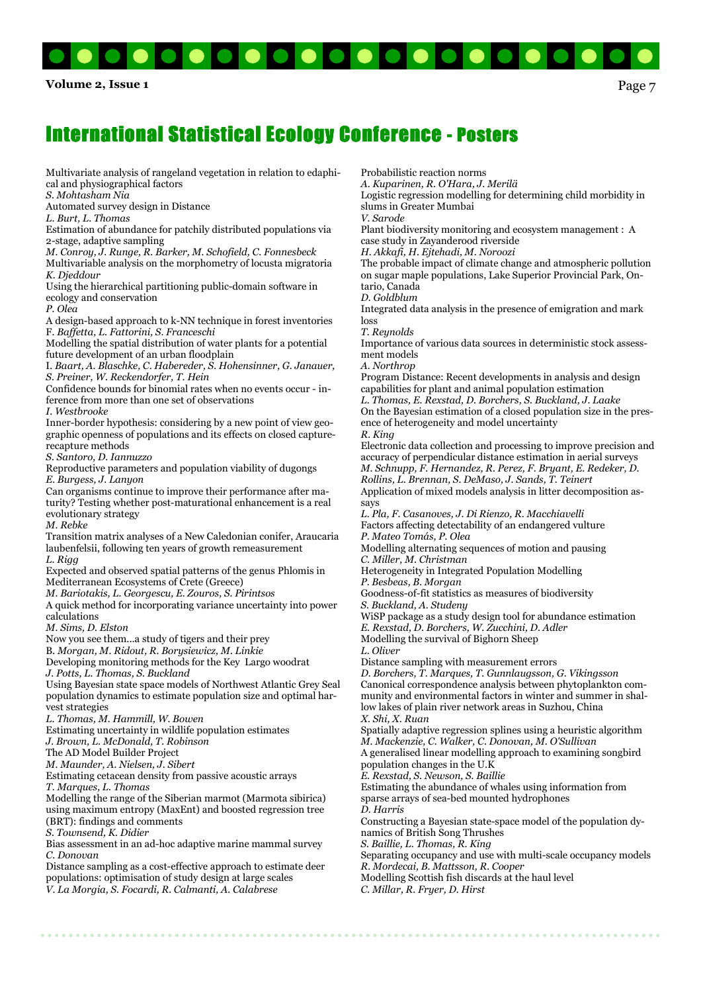

Volume 2, Issue 1  $Page 7$ 

Multivariate analysis of rangeland vegetation in relation to edaphical and physiographical factors

S. Mohtasham Nia

Automated survey design in Distance

L. Burt, L. Thomas

Estimation of abundance for patchily distributed populations via 2-stage, adaptive sampling

M. Conroy, J. Runge, R. Barker, M. Schofield, C. Fonnesbeck Multivariable analysis on the morphometry of locusta migratoria K. Djeddour

Using the hierarchical partitioning public-domain software in ecology and conservation

P. Olea

A design-based approach to k-NN technique in forest inventories F. Baffetta, L. Fattorini, S. Franceschi

Modelling the spatial distribution of water plants for a potential future development of an urban floodplain

I. Baart, A. Blaschke, C. Habereder, S. Hohensinner, G. Janauer, S. Preiner, W. Reckendorfer, T. Hein

Confidence bounds for binomial rates when no events occur - inference from more than one set of observations

I. Westbrooke

Inner-border hypothesis: considering by a new point of view geographic openness of populations and its effects on closed capturerecapture methods

S. Santoro, D. Iannuzzo

Reproductive parameters and population viability of dugongs E. Burgess, J. Lanyon

Can organisms continue to improve their performance after maturity? Testing whether post-maturational enhancement is a real evolutionary strategy

M. Rebke

Transition matrix analyses of a New Caledonian conifer, Araucaria laubenfelsii, following ten years of growth remeasurement  $L$ . Rigg

Expected and observed spatial patterns of the genus Phlomis in Mediterranean Ecosystems of Crete (Greece)

M. Bariotakis, L. Georgescu, E. Zouros, S. Pirintsos

A quick method for incorporating variance uncertainty into power calculations

M. Sims, D. Elston

Now you see them...a study of tigers and their prey

B. Morgan, M. Ridout, R. Borysiewicz, M. Linkie

Developing monitoring methods for the Key Largo woodrat J. Potts, L. Thomas, S. Buckland

Using Bayesian state space models of Northwest Atlantic Grey Seal

population dynamics to estimate population size and optimal harvest strategies

L. Thomas, M. Hammill, W. Bowen

Estimating uncertainty in wildlife population estimates

J. Brown, L. McDonald, T. Robinson

The AD Model Builder Project

M. Maunder, A. Nielsen, J. Sibert

Estimating cetacean density from passive acoustic arrays

T. Marques, L. Thomas

Modelling the range of the Siberian marmot (Marmota sibirica) using maximum entropy (MaxEnt) and boosted regression tree (BRT): findings and comments

S. Townsend, K. Didier

Bias assessment in an ad-hoc adaptive marine mammal survey C. Donovan

Distance sampling as a cost-effective approach to estimate deer populations: optimisation of study design at large scales V. La Morgia, S. Focardi, R. Calmanti, A. Calabrese

Probabilistic reaction norms

A. Kuparinen, R. O'Hara, J. Merilä

Logistic regression modelling for determining child morbidity in slums in Greater Mumbai

V. Sarode

Plant biodiversity monitoring and ecosystem management : A case study in Zayanderood riverside

H. Akkafi, H. Ejtehadi, M. Noroozi

The probable impact of climate change and atmospheric pollution on sugar maple populations, Lake Superior Provincial Park, Ontario, Canada

D. Goldblum

Integrated data analysis in the presence of emigration and mark loss

T. Reynolds

Importance of various data sources in deterministic stock assessment models

A. Northrop

Program Distance: Recent developments in analysis and design capabilities for plant and animal population estimation L. Thomas, E. Rexstad, D. Borchers, S. Buckland, J. Laake

On the Bayesian estimation of a closed population size in the presence of heterogeneity and model uncertainty R. King

Electronic data collection and processing to improve precision and accuracy of perpendicular distance estimation in aerial surveys M. Schnupp, F. Hernandez, R. Perez, F. Bryant, E. Redeker, D.

Rollins, L. Brennan, S. DeMaso, J. Sands, T. Teinert Application of mixed models analysis in litter decomposition as-

says L. Pla, F. Casanoves, J. Di Rienzo, R. Macchiavelli Factors affecting detectability of an endangered vulture P. Mateo Tomás, P. Olea

Modelling alternating sequences of motion and pausing C. Miller, M. Christman

Heterogeneity in Integrated Population Modelling P. Besbeas, B. Morgan

Goodness-of-fit statistics as measures of biodiversity

S. Buckland, A. Studeny

WiSP package as a study design tool for abundance estimation E. Rexstad, D. Borchers, W. Zucchini, D. Adler

Modelling the survival of Bighorn Sheep

L. Oliver

Distance sampling with measurement errors

D. Borchers, T. Marques, T. Gunnlaugsson, G. Vikingsson Canonical correspondence analysis between phytoplankton community and environmental factors in winter and summer in shallow lakes of plain river network areas in Suzhou, China X. Shi, X. Ruan

Spatially adaptive regression splines using a heuristic algorithm M. Mackenzie, C. Walker, C. Donovan, M. O'Sullivan A generalised linear modelling approach to examining songbird

population changes in the U.K

E. Rexstad, S. Newson, S. Baillie

Estimating the abundance of whales using information from sparse arrays of sea-bed mounted hydrophones

D. Harris

Constructing a Bayesian state-space model of the population dynamics of British Song Thrushes

S. Baillie, L. Thomas, R. King

Separating occupancy and use with multi-scale occupancy models R. Mordecai, B. Mattsson, R. Cooper

Modelling Scottish fish discards at the haul level

C. Millar, R. Fryer, D. Hirst